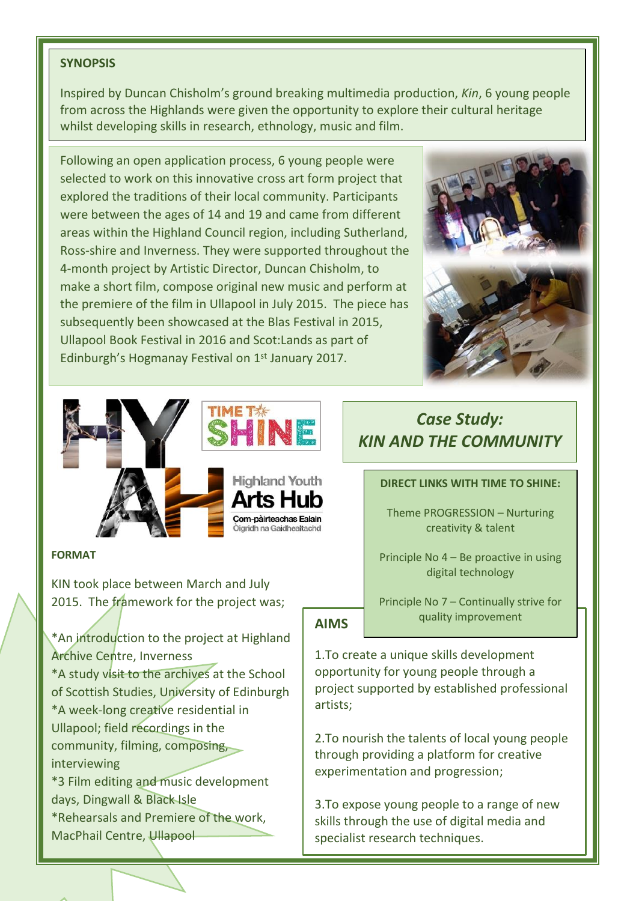## **SYNOPSIS**

Inspired by Duncan Chisholm's ground breaking multimedia production, *Kin*, 6 young people from across the Highlands were given the opportunity to explore their cultural heritage whilst developing skills in research, ethnology, music and film.

Following an open application process, 6 young people were selected to work on this innovative cross art form project that explored the traditions of their local community. Participants were between the ages of 14 and 19 and came from different areas within the Highland Council region, including Sutherland, Ross-shire and Inverness. They were supported throughout the 4-month project by Artistic Director, Duncan Chisholm, to make a short film, compose original new music and perform at the premiere of the film in Ullapool in July 2015. The piece has subsequently been showcased at the Blas Festival in 2015, Ullapool Book Festival in 2016 and Scot:Lands as part of Edinburgh's Hogmanay Festival on 1st January 2017.





**FORMAT**

KIN took place between March and July 2015. The framework for the project was:

\*An introduction to the project at Highland Archive Centre, Inverness

\*A study visit to the archives at the School of Scottish Studies, University of Edinburgh \*A week-long creative residential in Ullapool; field recordings in the community, filming, composing, interviewing \*3 Film editing and music development

days, Dingwall & Black Isle \*Rehearsals and Premiere of the work,

## MacPhail Centre, Ullapool

# *Case Study: KIN AND THE COMMUNITY*

#### **DIRECT LINKS WITH TIME TO SHINE:**

Theme PROGRESSION – Nurturing creativity & talent

Principle No 4 – Be proactive in using digital technology

**AIMS**

e Huh

Principle No 7 – Continually strive for quality improvement

1.To create a unique skills development opportunity for young people through a project supported by established professional artists;

2.To nourish the talents of local young people through providing a platform for creative experimentation and progression;

3.To expose young people to a range of new skills through the use of digital media and specialist research techniques.